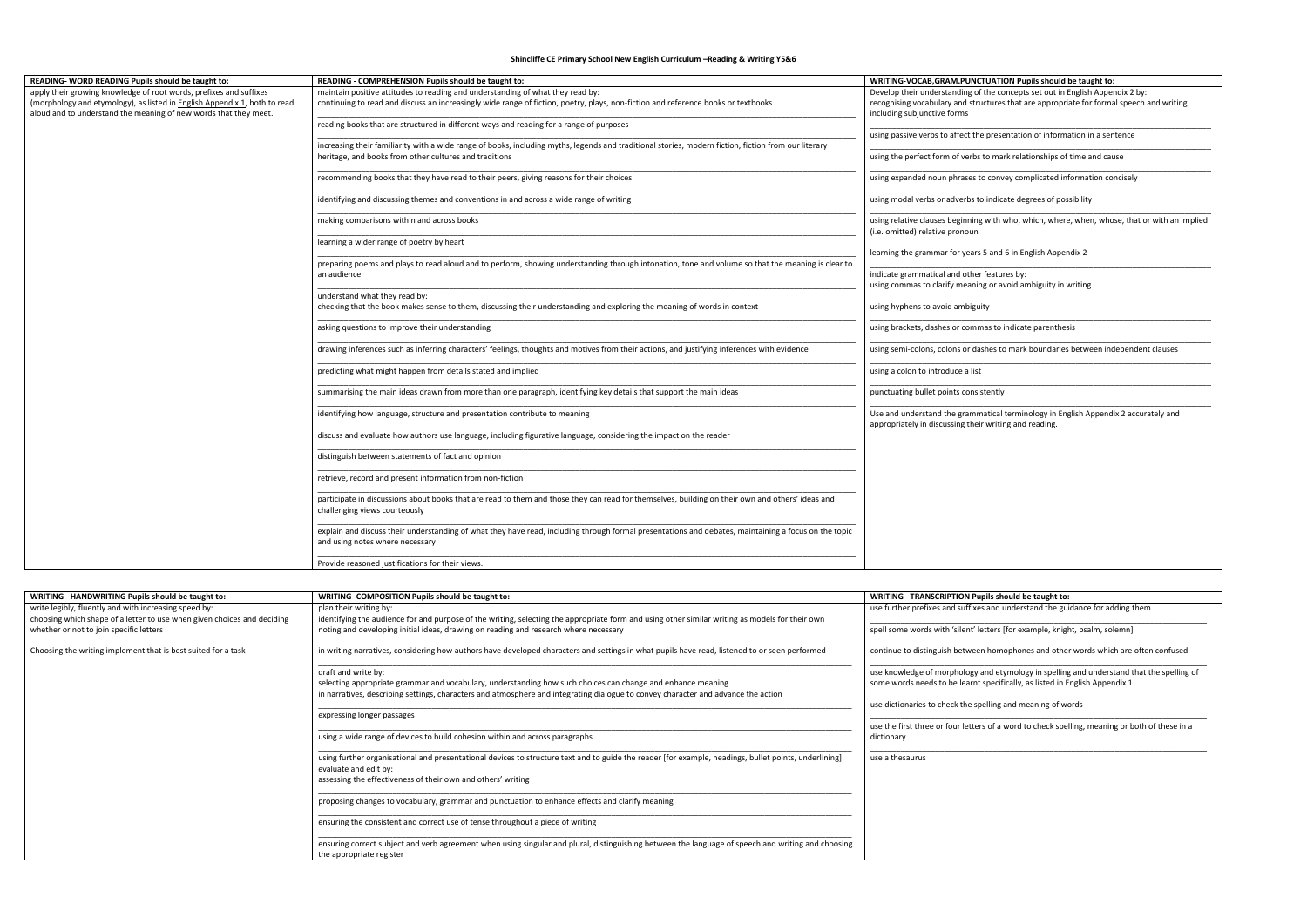**Shincliffe CE Primary School New English Curriculum –Reading & Writing Y5&6**

| READING- WORD READING Pupils should be taught to:                                                                                             | READING - COMPREHENSION Pupils should be taught to:                                                                                                                                     | WRITING-VOCAB, GRAM. PUNCTUATION Pupils should be taught to:                                                                                  |
|-----------------------------------------------------------------------------------------------------------------------------------------------|-----------------------------------------------------------------------------------------------------------------------------------------------------------------------------------------|-----------------------------------------------------------------------------------------------------------------------------------------------|
| apply their growing knowledge of root words, prefixes and suffixes                                                                            | maintain positive attitudes to reading and understanding of what they read by:                                                                                                          | Develop their understanding of the concepts set out in English Appendix 2 by:                                                                 |
| (morphology and etymology), as listed in English Appendix 1, both to read<br>aloud and to understand the meaning of new words that they meet. | continuing to read and discuss an increasingly wide range of fiction, poetry, plays, non-fiction and reference books or textbooks                                                       | recognising vocabulary and structures that are appropriate for formal speech and writing,<br>including subjunctive forms                      |
|                                                                                                                                               | reading books that are structured in different ways and reading for a range of purposes                                                                                                 | using passive verbs to affect the presentation of information in a sentence                                                                   |
|                                                                                                                                               | increasing their familiarity with a wide range of books, including myths, legends and traditional stories, modern fiction, fiction from our literary                                    |                                                                                                                                               |
|                                                                                                                                               | heritage, and books from other cultures and traditions                                                                                                                                  | using the perfect form of verbs to mark relationships of time and cause                                                                       |
|                                                                                                                                               | recommending books that they have read to their peers, giving reasons for their choices                                                                                                 | using expanded noun phrases to convey complicated information concisely                                                                       |
|                                                                                                                                               | identifying and discussing themes and conventions in and across a wide range of writing                                                                                                 | using modal verbs or adverbs to indicate degrees of possibility                                                                               |
|                                                                                                                                               | making comparisons within and across books                                                                                                                                              | using relative clauses beginning with who, which, where, when, whose, that or with an implied<br>(i.e. omitted) relative pronoun              |
|                                                                                                                                               | learning a wider range of poetry by heart                                                                                                                                               |                                                                                                                                               |
|                                                                                                                                               |                                                                                                                                                                                         | learning the grammar for years 5 and 6 in English Appendix 2                                                                                  |
|                                                                                                                                               | preparing poems and plays to read aloud and to perform, showing understanding through intonation, tone and volume so that the meaning is clear to                                       |                                                                                                                                               |
|                                                                                                                                               | an audience                                                                                                                                                                             | indicate grammatical and other features by:<br>using commas to clarify meaning or avoid ambiguity in writing                                  |
|                                                                                                                                               | understand what they read by:                                                                                                                                                           |                                                                                                                                               |
|                                                                                                                                               | checking that the book makes sense to them, discussing their understanding and exploring the meaning of words in context                                                                | using hyphens to avoid ambiguity                                                                                                              |
|                                                                                                                                               | asking questions to improve their understanding                                                                                                                                         | using brackets, dashes or commas to indicate parenthesis                                                                                      |
|                                                                                                                                               | drawing inferences such as inferring characters' feelings, thoughts and motives from their actions, and justifying inferences with evidence                                             | using semi-colons, colons or dashes to mark boundaries between independent clauses                                                            |
|                                                                                                                                               | predicting what might happen from details stated and implied                                                                                                                            | using a colon to introduce a list                                                                                                             |
|                                                                                                                                               | summarising the main ideas drawn from more than one paragraph, identifying key details that support the main ideas                                                                      | punctuating bullet points consistently                                                                                                        |
|                                                                                                                                               | identifying how language, structure and presentation contribute to meaning                                                                                                              | Use and understand the grammatical terminology in English Appendix 2 accurately and<br>appropriately in discussing their writing and reading. |
|                                                                                                                                               | discuss and evaluate how authors use language, including figurative language, considering the impact on the reader                                                                      |                                                                                                                                               |
|                                                                                                                                               | distinguish between statements of fact and opinion                                                                                                                                      |                                                                                                                                               |
|                                                                                                                                               | retrieve, record and present information from non-fiction                                                                                                                               |                                                                                                                                               |
|                                                                                                                                               | participate in discussions about books that are read to them and those they can read for themselves, building on their own and others' ideas and<br>challenging views courteously       |                                                                                                                                               |
|                                                                                                                                               | explain and discuss their understanding of what they have read, including through formal presentations and debates, maintaining a focus on the topic<br>and using notes where necessary |                                                                                                                                               |
|                                                                                                                                               | Provide reasoned justifications for their views.                                                                                                                                        |                                                                                                                                               |

| WRITING - HANDWRITING Pupils should be taught to:                                                                                | WRITING - COMPOSITION Pupils should be taught to:                                                                                                                                                                                                                       | WRITING - TRANSCRIPTION Pupils should be taught to:                                                                                                                                                                                     |
|----------------------------------------------------------------------------------------------------------------------------------|-------------------------------------------------------------------------------------------------------------------------------------------------------------------------------------------------------------------------------------------------------------------------|-----------------------------------------------------------------------------------------------------------------------------------------------------------------------------------------------------------------------------------------|
| write legibly, fluently and with increasing speed by:<br>choosing which shape of a letter to use when given choices and deciding | plan their writing by:<br>identifying the audience for and purpose of the writing, selecting the appropriate form and using other similar writing as models for their own                                                                                               | use further prefixes and suffixes and understand the guidance for adding them                                                                                                                                                           |
| whether or not to join specific letters                                                                                          | noting and developing initial ideas, drawing on reading and research where necessary                                                                                                                                                                                    | spell some words with 'silent' letters [for example, knight, psalm, solemn]                                                                                                                                                             |
| Choosing the writing implement that is best suited for a task                                                                    | in writing narratives, considering how authors have developed characters and settings in what pupils have read, listened to or seen performed                                                                                                                           | continue to distinguish between homophones and other words which are often confused                                                                                                                                                     |
|                                                                                                                                  | draft and write by:<br>selecting appropriate grammar and vocabulary, understanding how such choices can change and enhance meaning<br>in narratives, describing settings, characters and atmosphere and integrating dialogue to convey character and advance the action | use knowledge of morphology and etymology in spelling and understand that the spelling of<br>some words needs to be learnt specifically, as listed in English Appendix 1<br>use dictionaries to check the spelling and meaning of words |
|                                                                                                                                  | expressing longer passages                                                                                                                                                                                                                                              | use the first three or four letters of a word to check spelling, meaning or both of these in a                                                                                                                                          |
|                                                                                                                                  | using a wide range of devices to build cohesion within and across paragraphs                                                                                                                                                                                            | dictionary                                                                                                                                                                                                                              |
|                                                                                                                                  | using further organisational and presentational devices to structure text and to guide the reader [for example, headings, bullet points, underlining]<br>evaluate and edit by:<br>assessing the effectiveness of their own and others' writing                          | use a thesaurus                                                                                                                                                                                                                         |
|                                                                                                                                  | proposing changes to vocabulary, grammar and punctuation to enhance effects and clarify meaning                                                                                                                                                                         |                                                                                                                                                                                                                                         |
|                                                                                                                                  | ensuring the consistent and correct use of tense throughout a piece of writing                                                                                                                                                                                          |                                                                                                                                                                                                                                         |
|                                                                                                                                  | ensuring correct subject and verb agreement when using singular and plural, distinguishing between the language of speech and writing and choosing<br>the appropriate register                                                                                          |                                                                                                                                                                                                                                         |